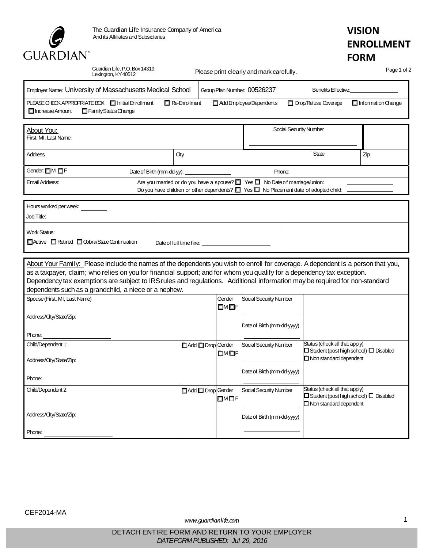

## **VISION ENROLLMENT FORM**

| Lexington, KY40512                                                                                                                                                                                                                                                                                                                                                                                                                                  | Guardian Life, P.O. Box 14319,<br>Please print clearly and mark carefully. |                             |                               |                                                                                                                           |     |  |  |  |  |
|-----------------------------------------------------------------------------------------------------------------------------------------------------------------------------------------------------------------------------------------------------------------------------------------------------------------------------------------------------------------------------------------------------------------------------------------------------|----------------------------------------------------------------------------|-----------------------------|-------------------------------|---------------------------------------------------------------------------------------------------------------------------|-----|--|--|--|--|
| Employer Name: University of Massachusetts Medical School                                                                                                                                                                                                                                                                                                                                                                                           |                                                                            | Group Plan Number: 00526237 |                               |                                                                                                                           |     |  |  |  |  |
| PLEASE CHECK APPROPRIATE BOX II Initial Enrollment<br>$\Box$ Re-Enrollment<br>Family Status Change<br>$\Box$ Increase Amount                                                                                                                                                                                                                                                                                                                        | Add Employee/Dependents                                                    | Drop/Refuse Coverage        | $\Box$ Information Change     |                                                                                                                           |     |  |  |  |  |
| About You:<br>First, MI, Last Name:                                                                                                                                                                                                                                                                                                                                                                                                                 |                                                                            | Social Security Number      |                               |                                                                                                                           |     |  |  |  |  |
| <b>Address</b>                                                                                                                                                                                                                                                                                                                                                                                                                                      | <b>City</b>                                                                |                             |                               | <b>State</b>                                                                                                              | Zip |  |  |  |  |
| Gender: OM OF                                                                                                                                                                                                                                                                                                                                                                                                                                       | Date of Birth (mm-dd-yy):                                                  |                             |                               |                                                                                                                           |     |  |  |  |  |
| Are you married or do you have a spouse? 4 Yes 4 No Date of marriage/union:<br>Email Address:<br>Do you have children or other dependents? $\Box$ Yes $\Box$ No Placement date of adopted child:                                                                                                                                                                                                                                                    |                                                                            |                             |                               |                                                                                                                           |     |  |  |  |  |
| Hours worked per week:                                                                                                                                                                                                                                                                                                                                                                                                                              |                                                                            |                             |                               |                                                                                                                           |     |  |  |  |  |
| Job Title:                                                                                                                                                                                                                                                                                                                                                                                                                                          |                                                                            |                             |                               |                                                                                                                           |     |  |  |  |  |
| <b>Work Status:</b><br>Active Retired Cobra/State Continuation                                                                                                                                                                                                                                                                                                                                                                                      |                                                                            |                             |                               |                                                                                                                           |     |  |  |  |  |
| About Your Family: Please include the names of the dependents you wish to enroll for coverage. A dependent is a person that you,<br>as a taxpayer, claim; who relies on you for financial support; and for whom you qualify for a dependency tax exception.<br>Dependency tax exemptions are subject to IRS rules and regulations. Additional information may be required for non-standard<br>dependents such as a grandchild, a niece or a nephew. |                                                                            |                             |                               |                                                                                                                           |     |  |  |  |  |
| Spouse (First, MI, Last Name)                                                                                                                                                                                                                                                                                                                                                                                                                       |                                                                            | Gender<br>אם אם             | Social Security Number        |                                                                                                                           |     |  |  |  |  |
| Address/City/State/Zip:                                                                                                                                                                                                                                                                                                                                                                                                                             |                                                                            |                             | Date of Birth (mm-dd-yyyy)    |                                                                                                                           |     |  |  |  |  |
| Phone:                                                                                                                                                                                                                                                                                                                                                                                                                                              |                                                                            |                             |                               |                                                                                                                           |     |  |  |  |  |
| Child/Dependent 1:<br>Address/City/State/Zip:                                                                                                                                                                                                                                                                                                                                                                                                       | Add Drop Gender                                                            | $\square$ M $\square$ F     | <b>Social Security Number</b> | Status (check all that apply)<br>$\Box$ Student (post high school) $\Box$ Disabled<br>$\Box$ Non standard dependent       |     |  |  |  |  |
| Phone:                                                                                                                                                                                                                                                                                                                                                                                                                                              |                                                                            |                             | Date of Birth (mm-dd-yyyy)    |                                                                                                                           |     |  |  |  |  |
| Child/Dependent 2:                                                                                                                                                                                                                                                                                                                                                                                                                                  | Add Drop Gender                                                            | $\square$ M $\square$ F     | Social Security Number        | Status (check all that apply)<br>$\square$ Student (post high school) $\square$ Disabled<br>$\Box$ Non standard dependent |     |  |  |  |  |
| Address/City/State/Zip:                                                                                                                                                                                                                                                                                                                                                                                                                             |                                                                            |                             | Date of Birth (mm-dd-yyyy)    |                                                                                                                           |     |  |  |  |  |
| Phone:                                                                                                                                                                                                                                                                                                                                                                                                                                              |                                                                            |                             |                               |                                                                                                                           |     |  |  |  |  |

*[www.guardianlife.com](http://www.guardianlife.com/)* 1